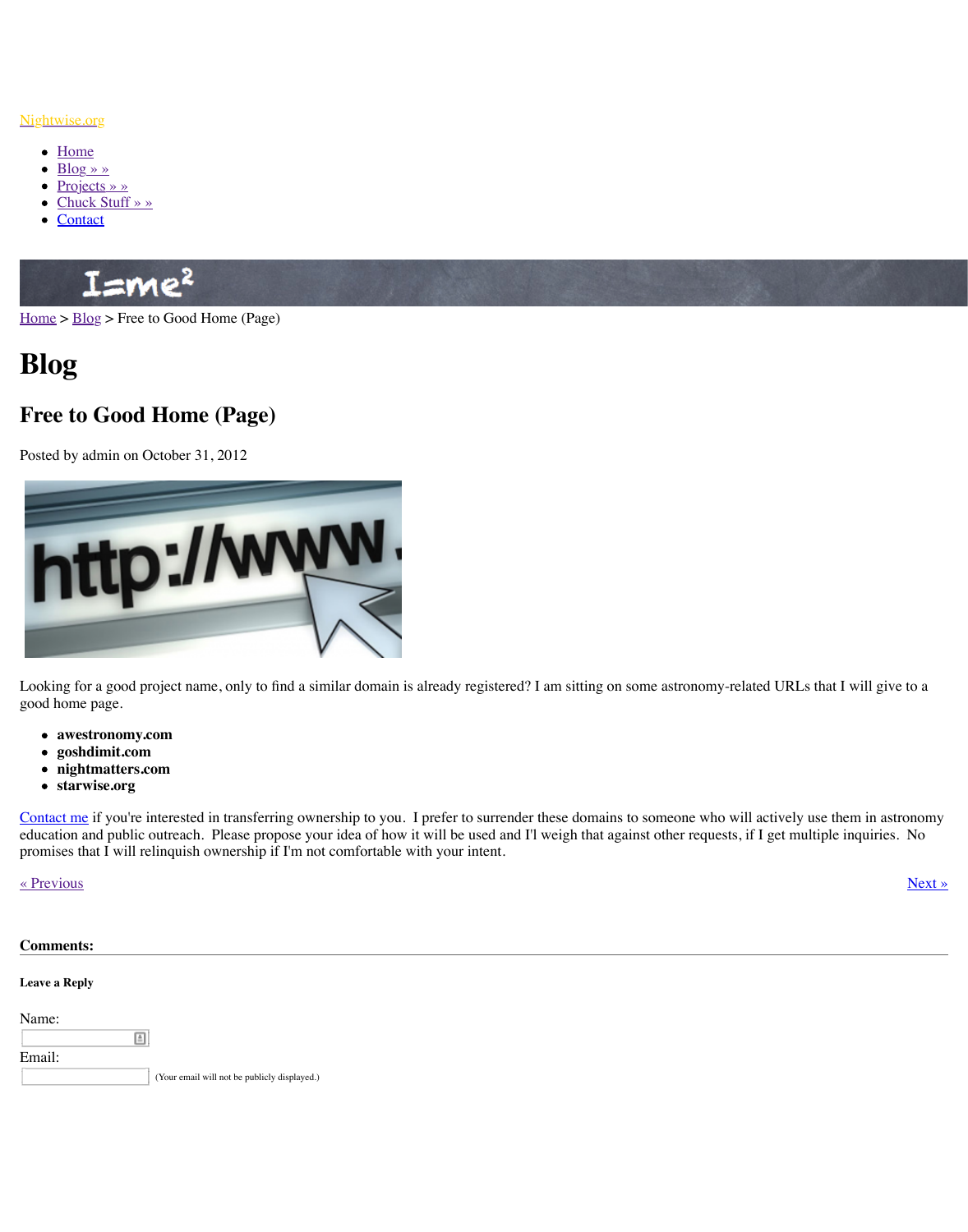

Looki[ng for a good pr](http://www.nightwise.org/chuck-stuff/)oject name, only to find a similar domain is already registered? I am si good [home pa](http://www.nightwise.org/contact/)ge.

- **awestronomy.com**
- **goshdimit.com**
- **nightmatters.com**
- **starwise.org**

[Contac](http://www.nightwise.org/)t [me if](http://www.nightwise.org/blog/) you're interested in transferring ownership to you. I prefer to surrender these on education and public outreach. Please propose your idea of how it will be used and I'l weigh promises that I will relinquish ownership if I'm not comfortable with your intent.

« Previous » Next » Next » Next » Next » Next » Next » Next » Next » Next » Next » Next » Next » Next » Next » Next » Next » Next » Next » Next » Next » Next » Next » Next » Next » Next » Next » Next » Next » Next » Next »

| <b>Comments:</b>     |                                              |
|----------------------|----------------------------------------------|
| <b>Leave a Reply</b> |                                              |
| Name:<br>圄           |                                              |
| Email:               | (Your email will not be publicly displayed.) |
|                      |                                              |